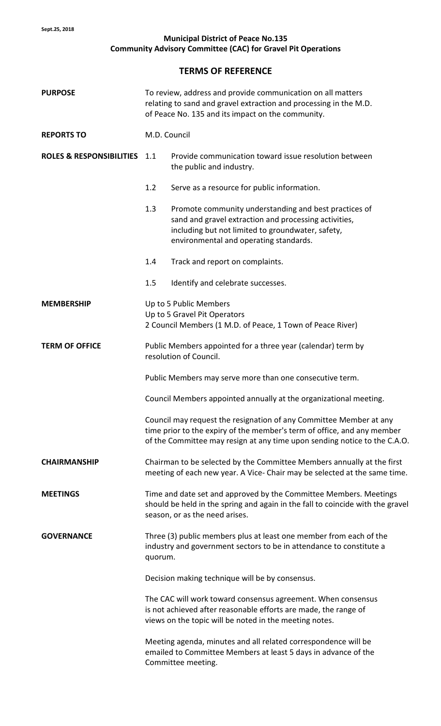## **Municipal District of Peace No.135 Community Advisory Committee (CAC) for Gravel Pit Operations**

## **TERMS OF REFERENCE**

| <b>PURPOSE</b>                      | To review, address and provide communication on all matters<br>relating to sand and gravel extraction and processing in the M.D.<br>of Peace No. 135 and its impact on the community. |                                                                                                                                                                                                                            |
|-------------------------------------|---------------------------------------------------------------------------------------------------------------------------------------------------------------------------------------|----------------------------------------------------------------------------------------------------------------------------------------------------------------------------------------------------------------------------|
| <b>REPORTS TO</b>                   | M.D. Council                                                                                                                                                                          |                                                                                                                                                                                                                            |
| <b>ROLES &amp; RESPONSIBILITIES</b> | 1.1                                                                                                                                                                                   | Provide communication toward issue resolution between<br>the public and industry.                                                                                                                                          |
|                                     | 1.2                                                                                                                                                                                   | Serve as a resource for public information.                                                                                                                                                                                |
|                                     | 1.3                                                                                                                                                                                   | Promote community understanding and best practices of<br>sand and gravel extraction and processing activities,<br>including but not limited to groundwater, safety,<br>environmental and operating standards.              |
|                                     | 1.4                                                                                                                                                                                   | Track and report on complaints.                                                                                                                                                                                            |
|                                     | 1.5                                                                                                                                                                                   | Identify and celebrate successes.                                                                                                                                                                                          |
| <b>MEMBERSHIP</b>                   | Up to 5 Public Members<br>Up to 5 Gravel Pit Operators<br>2 Council Members (1 M.D. of Peace, 1 Town of Peace River)                                                                  |                                                                                                                                                                                                                            |
| <b>TERM OF OFFICE</b>               | Public Members appointed for a three year (calendar) term by<br>resolution of Council.                                                                                                |                                                                                                                                                                                                                            |
|                                     |                                                                                                                                                                                       | Public Members may serve more than one consecutive term.                                                                                                                                                                   |
|                                     | Council Members appointed annually at the organizational meeting.                                                                                                                     |                                                                                                                                                                                                                            |
|                                     |                                                                                                                                                                                       | Council may request the resignation of any Committee Member at any<br>time prior to the expiry of the member's term of office, and any member<br>of the Committee may resign at any time upon sending notice to the C.A.O. |
| <b>CHAIRMANSHIP</b>                 | Chairman to be selected by the Committee Members annually at the first<br>meeting of each new year. A Vice- Chair may be selected at the same time.                                   |                                                                                                                                                                                                                            |
| <b>MEETINGS</b>                     | Time and date set and approved by the Committee Members. Meetings<br>should be held in the spring and again in the fall to coincide with the gravel<br>season, or as the need arises. |                                                                                                                                                                                                                            |
| <b>GOVERNANCE</b>                   | Three (3) public members plus at least one member from each of the<br>industry and government sectors to be in attendance to constitute a<br>quorum.                                  |                                                                                                                                                                                                                            |
|                                     |                                                                                                                                                                                       | Decision making technique will be by consensus.                                                                                                                                                                            |
|                                     |                                                                                                                                                                                       | The CAC will work toward consensus agreement. When consensus<br>is not achieved after reasonable efforts are made, the range of<br>views on the topic will be noted in the meeting notes.                                  |
|                                     |                                                                                                                                                                                       | Meeting agenda, minutes and all related correspondence will be<br>emailed to Committee Members at least 5 days in advance of the<br>Committee meeting.                                                                     |